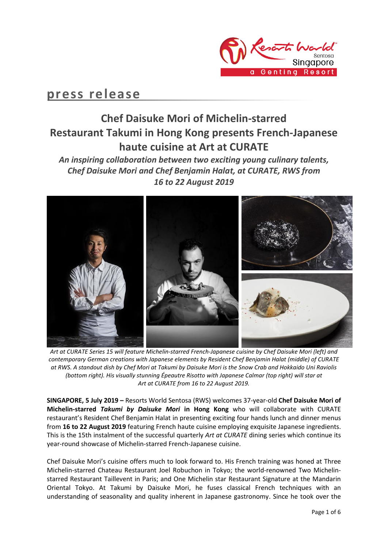

## **press release**

# **Chef Daisuke Mori of Michelin-starred Restaurant Takumi in Hong Kong presents French-Japanese haute cuisine at Art at CURATE**

*An inspiring collaboration between two exciting young culinary talents, Chef Daisuke Mori and Chef Benjamin Halat, at CURATE, RWS from 16 to 22 August 2019*



*Art at CURATE Series 15 will feature Michelin-starred French-Japanese cuisine by Chef Daisuke Mori (left) and contemporary German creations with Japanese elements by Resident Chef Benjamin Halat (middle) of CURATE at RWS. A standout dish by Chef Mori at Takumi by Daisuke Mori is the Snow Crab and Hokkaido Uni Raviolis (bottom right). His visually stunning Épeautre Risotto with Japanese Calmar (top right) will star at Art at CURATE from 16 to 22 August 2019.*

**SINGAPORE, 5 July 2019 –** Resorts World Sentosa (RWS) welcomes 37-year-old **Chef Daisuke Mori of Michelin-starred** *Takumi by Daisuke Mori* **in Hong Kong** who will collaborate with CURATE restaurant's Resident Chef Benjamin Halat in presenting exciting four hands lunch and dinner menus from **16 to 22 August 2019** featuring French haute cuisine employing exquisite Japanese ingredients. This is the 15th instalment of the successful quarterly *Art at CURATE* dining series which continue its year-round showcase of Michelin-starred French-Japanese cuisine.

Chef Daisuke Mori's cuisine offers much to look forward to. His French training was honed at Three Michelin-starred Chateau Restaurant Joel Robuchon in Tokyo; the world-renowned Two Michelinstarred Restaurant Taillevent in Paris; and One Michelin star Restaurant Signature at the Mandarin Oriental Tokyo. At Takumi by Daisuke Mori, he fuses classical French techniques with an understanding of seasonality and quality inherent in Japanese gastronomy. Since he took over the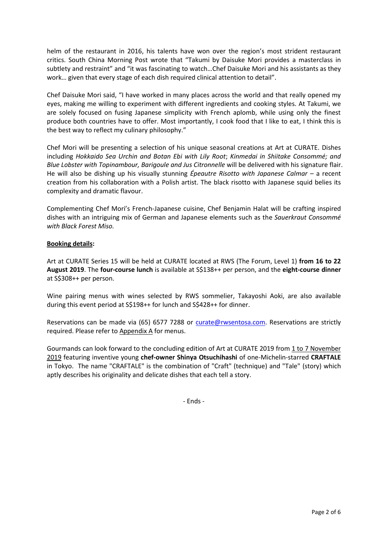helm of the restaurant in 2016, his talents have won over the region's most strident restaurant critics. South China Morning Post wrote that "Takumi by Daisuke Mori provides a masterclass in subtlety and restraint" and "it was fascinating to watch…Chef Daisuke Mori and his assistants as they work… given that every stage of each dish required clinical attention to detail".

Chef Daisuke Mori said, "I have worked in many places across the world and that really opened my eyes, making me willing to experiment with different ingredients and cooking styles. At Takumi, we are solely focused on fusing Japanese simplicity with French aplomb, while using only the finest produce both countries have to offer. Most importantly, I cook food that I like to eat, I think this is the best way to reflect my culinary philosophy."

Chef Mori will be presenting a selection of his unique seasonal creations at Art at CURATE. Dishes including *Hokkaido Sea Urchin and Botan Ebi with Lily Root*; *Kinmedai in Shiitake Consommé; and Blue Lobster with Topinambour, Barigoule and Jus Citronnelle* will be delivered with his signature flair. He will also be dishing up his visually stunning *Épeautre Risotto with Japanese Calmar* – a recent creation from his collaboration with a Polish artist. The black risotto with Japanese squid belies its complexity and dramatic flavour.

Complementing Chef Mori's French-Japanese cuisine, Chef Benjamin Halat will be crafting inspired dishes with an intriguing mix of German and Japanese elements such as the *Sauerkraut Consommé with Black Forest Miso.*

### **Booking details:**

Art at CURATE Series 15 will be held at CURATE located at RWS (The Forum, Level 1) **from 16 to 22 August 2019**. The **four-course lunch** is available at S\$138++ per person, and the **eight-course dinner** at S\$308++ per person.

Wine pairing menus with wines selected by RWS sommelier, Takayoshi Aoki, are also available during this event period at S\$198++ for lunch and S\$428++ for dinner.

Reservations can be made via (65) 6577 7288 or [curate@rwsentosa.com.](mailto:curate@rwsentosa.com) Reservations are strictly required. Please refer to Appendix A for menus.

Gourmands can look forward to the concluding edition of Art at CURATE 2019 from 1 to 7 November 2019 featuring inventive young **chef-owner Shinya Otsuchihashi** of one-Michelin-starred **CRAFTALE** in Tokyo. The name "CRAFTALE" is the combination of "Craft" (technique) and "Tale" (story) which aptly describes his originality and delicate dishes that each tell a story.

- Ends -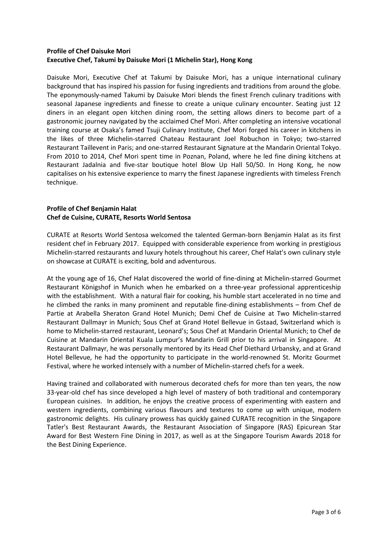### **Profile of Chef Daisuke Mori Executive Chef, Takumi by Daisuke Mori (1 Michelin Star), Hong Kong**

Daisuke Mori, Executive Chef at Takumi by Daisuke Mori, has a unique international culinary background that has inspired his passion for fusing ingredients and traditions from around the globe. The eponymously-named Takumi by Daisuke Mori blends the finest French culinary traditions with seasonal Japanese ingredients and finesse to create a unique culinary encounter. Seating just 12 diners in an elegant open kitchen dining room, the setting allows diners to become part of a gastronomic journey navigated by the acclaimed Chef Mori. After completing an intensive vocational training course at Osaka's famed Tsuji Culinary Institute, Chef Mori forged his career in kitchens in the likes of three Michelin-starred Chateau Restaurant Joel Robuchon in Tokyo; two-starred Restaurant Taillevent in Paris; and one-starred Restaurant Signature at the Mandarin Oriental Tokyo. From 2010 to 2014, Chef Mori spent time in Poznan, Poland, where he led fine dining kitchens at Restaurant Jadalnia and five-star boutique hotel Blow Up Hall 50/50. In Hong Kong, he now capitalises on his extensive experience to marry the finest Japanese ingredients with timeless French technique.

## **Profile of Chef Benjamin Halat Chef de Cuisine, CURATE, Resorts World Sentosa**

CURATE at Resorts World Sentosa welcomed the talented German-born Benjamin Halat as its first resident chef in February 2017. Equipped with considerable experience from working in prestigious Michelin-starred restaurants and luxury hotels throughout his career, Chef Halat's own culinary style on showcase at CURATE is exciting, bold and adventurous.

At the young age of 16, Chef Halat discovered the world of fine-dining at Michelin-starred Gourmet Restaurant Königshof in Munich when he embarked on a three-year professional apprenticeship with the establishment. With a natural flair for cooking, his humble start accelerated in no time and he climbed the ranks in many prominent and reputable fine-dining establishments – from Chef de Partie at Arabella Sheraton Grand Hotel Munich; Demi Chef de Cuisine at Two Michelin-starred Restaurant Dallmayr in Munich; Sous Chef at Grand Hotel Bellevue in Gstaad, Switzerland which is home to Michelin-starred restaurant, Leonard's; Sous Chef at Mandarin Oriental Munich; to Chef de Cuisine at Mandarin Oriental Kuala Lumpur's Mandarin Grill prior to his arrival in Singapore. At Restaurant Dallmayr, he was personally mentored by its Head Chef Diethard Urbansky, and at Grand Hotel Bellevue, he had the opportunity to participate in the world-renowned St. Moritz Gourmet Festival, where he worked intensely with a number of Michelin-starred chefs for a week.

Having trained and collaborated with numerous decorated chefs for more than ten years, the now 33-year-old chef has since developed a high level of mastery of both traditional and contemporary European cuisines. In addition, he enjoys the creative process of experimenting with eastern and western ingredients, combining various flavours and textures to come up with unique, modern gastronomic delights. His culinary prowess has quickly gained CURATE recognition in the Singapore Tatler's Best Restaurant Awards, the Restaurant Association of Singapore (RAS) Epicurean Star Award for Best Western Fine Dining in 2017, as well as at the Singapore Tourism Awards 2018 for the Best Dining Experience.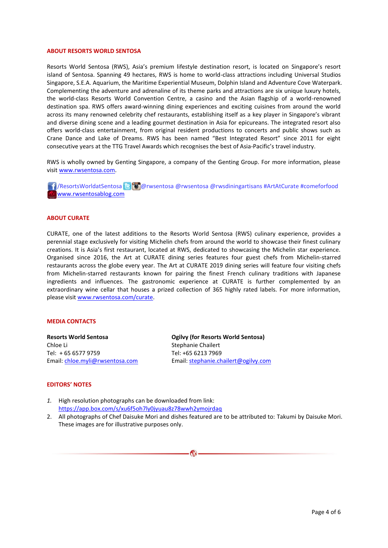#### **ABOUT RESORTS WORLD SENTOSA**

Resorts World Sentosa (RWS), Asia's premium lifestyle destination resort, is located on Singapore's resort island of Sentosa. Spanning 49 hectares, RWS is home to world-class attractions including Universal Studios Singapore, S.E.A. Aquarium, the Maritime Experiential Museum, Dolphin Island and Adventure Cove Waterpark. Complementing the adventure and adrenaline of its theme parks and attractions are six unique luxury hotels, the world-class Resorts World Convention Centre, a casino and the Asian flagship of a world-renowned destination spa. RWS offers award-winning dining experiences and exciting cuisines from around the world across its many renowned celebrity chef restaurants, establishing itself as a key player in Singapore's vibrant and diverse dining scene and a leading gourmet destination in Asia for epicureans. The integrated resort also offers world-class entertainment, from original resident productions to concerts and public shows such as Crane Dance and Lake of Dreams. RWS has been named "Best Integrated Resort" since 2011 for eight consecutive years at the TTG Travel Awards which recognises the best of Asia-Pacific's travel industry.

RWS is wholly owned by Genting Singapore, a company of the Genting Group. For more information, please visi[t www.rwsentosa.com.](http://www.rwsentosa.com/)

**16** ResortsWorldatSentosa **C** @rwsentosa @rwsentosa @rwsdiningartisans #ArtAtCurate #comeforfood [www.rwsentosablog.com](http://www.rwsentosablog.com/)

#### **ABOUT CURATE**

CURATE, one of the latest additions to the Resorts World Sentosa (RWS) culinary experience, provides a perennial stage exclusively for visiting Michelin chefs from around the world to showcase their finest culinary creations. It is Asia's first restaurant, located at RWS, dedicated to showcasing the Michelin star experience. Organised since 2016, the Art at CURATE dining series features four guest chefs from Michelin-starred restaurants across the globe every year. The Art at CURATE 2019 dining series will feature four visiting chefs from Michelin-starred restaurants known for pairing the finest French culinary traditions with Japanese ingredients and influences. The gastronomic experience at CURATE is further complemented by an extraordinary wine cellar that houses a prized collection of 365 highly rated labels. For more information, please visit [www.rwsentosa.com/curate.](http://www.rwsentosa.com/curate)

#### **MEDIA CONTACTS**

**Resorts World Sentosa** Chloe Li Tel: + 65 6577 9759 Email: [chloe.myli@rwsentosa.com](mailto:chloe.myli@rwsentosa.com)

**Ogilvy (for Resorts World Sentosa)** Stephanie Chailert Tel: +65 6213 7969 Email[: stephanie.chailert@ogilvy.com](mailto:stephanie.chailert@ogilvy.com) 

#### **EDITORS' NOTES**

- *1.* High resolution photographs can be downloaded from link: <https://app.box.com/s/xu6f5oh7ly0jyuau8z78wwh2ymojrdaq>
- 2. All photographs of Chef Daisuke Mori and dishes featured are to be attributed to: Takumi by Daisuke Mori. These images are for illustrative purposes only.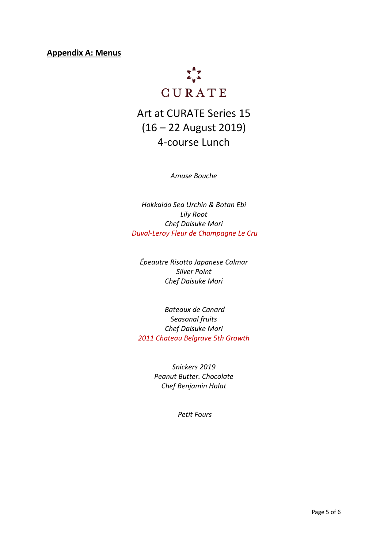**Appendix A: Menus**



# Art at CURATE Series 15 (16 – 22 August 2019) 4-course Lunch

*Amuse Bouche*

*Hokkaido Sea Urchin & Botan Ebi Lily Root Chef Daisuke Mori Duval-Leroy Fleur de Champagne Le Cru*

*Épeautre Risotto Japanese Calmar Silver Point Chef Daisuke Mori*

*Bateaux de Canard Seasonal fruits Chef Daisuke Mori 2011 Chateau Belgrave 5th Growth*

> *Snickers 2019 Peanut Butter. Chocolate Chef Benjamin Halat*

> > *Petit Fours*